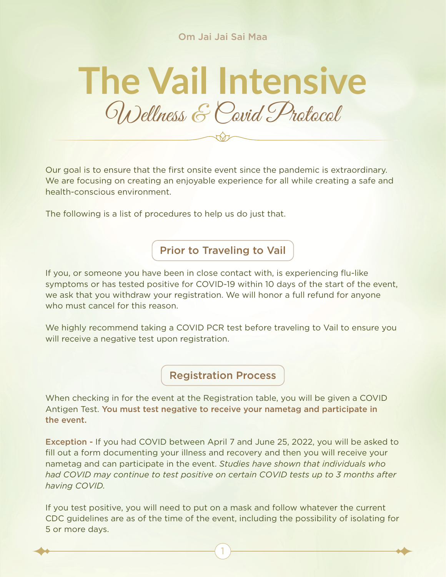## Om Jai Jai Sai Maa



Our goal is to ensure that the first onsite event since the pandemic is extraordinary. We are focusing on creating an enjoyable experience for all while creating a safe and health-conscious environment.

The following is a list of procedures to help us do just that.

Prior to Traveling to Vail

If you, or someone you have been in close contact with, is experiencing flu-like symptoms or has tested positive for COVID-19 within 10 days of the start of the event, we ask that you withdraw your registration. We will honor a full refund for anyone who must cancel for this reason.

We highly recommend taking a COVID PCR test before traveling to Vail to ensure you will receive a negative test upon registration.

Registration Process

When checking in for the event at the Registration table, you will be given a COVID Antigen Test. You must test negative to receive your nametag and participate in the event.

Exception - If you had COVID between April 7 and June 25, 2022, you will be asked to fill out a form documenting your illness and recovery and then you will receive your nametag and can participate in the event. *Studies have shown that individuals who had COVID may continue to test positive on certain COVID tests up to 3 months after having COVID.* 

If you test positive, you will need to put on a mask and follow whatever the current CDC guidelines are as of the time of the event, including the possibility of isolating for 5 or more days.

1